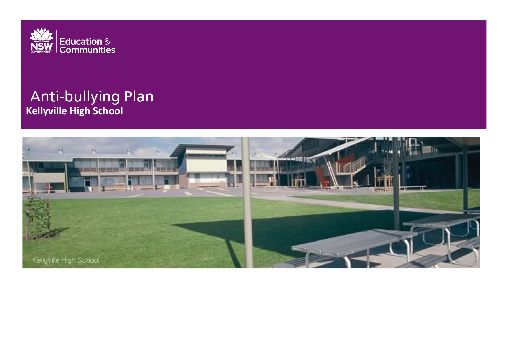

# **Anti-bullying Plan**<br>Kellyville High School

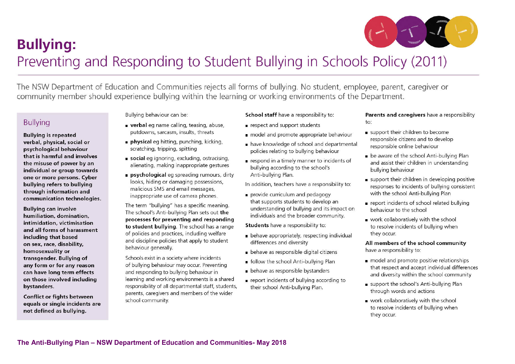

# **Bullying:** Preventing and Responding to Student Bullying in Schools Policy (2011)

The NSW Department of Education and Communities rejects all forms of bullying. No student, employee, parent, caregiver or community member should experience bullying within the learning or working environments of the Department.

# **Bullying**

#### **Bullying is repeated** verbal, physical, social or psychological behaviour that is harmful and involves the misuse of power by an individual or group towards one or more persons. Cyber bullying refers to bullying through information and communication technologies.

**Bullving can involve** humiliation, domination, intimidation, victimisation and all forms of harassment including that based on sex, race, disability, homosexuality or transgender. Bullying of any form or for any reason can have long term effects on those involved including bystanders.

**Conflict or fights between** equals or single incidents are not defined as bullying.

Bullying behaviour can be:

- verbal eq name calling, teasing, abuse, putdowns, sarcasm, insults, threats
- physical eq hitting, punching, kicking, scratching, tripping, spitting
- social eq ignoring, excluding, ostracising, alienating, making inappropriate gestures
- psychological eg spreading rumours, dirty looks, hiding or damaging possessions, malicious SMS and email messages, inappropriate use of camera phones.

The term "bullying" has a specific meaning. The school's Anti-bullying Plan sets out the processes for preventing and responding to student bullying. The school has a range of policies and practices, including welfare and discipline policies that apply to student behaviour generally.

Schools exist in a society where incidents of bullying behaviour may occur. Preventing and responding to bullying behaviour in learning and working environments is a shared responsibility of all departmental staff, students, parents, caregivers and members of the wider school community.

#### School staff have a responsibility to:

- respect and support students
- nodel and promote appropriate behaviour
- have knowledge of school and departmental policies relating to bullying behaviour
- respond in a timely manner to incidents of bullying according to the school's Anti-bullying Plan.
- In addition, teachers have a responsibility to:
- provide curriculum and pedagogy that supports students to develop an understanding of bullying and its impact on individuals and the broader community.

**Students** have a responsibility to:

- behave appropriately, respecting individual differences and diversity
- behave as responsible digital citizens
- follow the school Anti-bullying Plan
- behave as responsible bystanders
- report incidents of bullying according to their school Anti-bullving Plan.

#### Parents and caregivers have a responsibility  $\overline{1}$

- support their children to become responsible citizens and to develop responsible online behaviour
- be aware of the school Anti-bullying Plan and assist their children in understanding bullving behaviour
- support their children in developing positive responses to incidents of bullving consistent with the school Anti-bullying Plan
- report incidents of school related bullying behaviour to the school
- work collaboratively with the school to resolve incidents of bullying when they occur.

All members of the school community have a responsibility to:

- nodel and promote positive relationships that respect and accept individual differences and diversity within the school community
- support the school's Anti-bullying Plan through words and actions
- work collaboratively with the school to resolve incidents of bullying when they occur.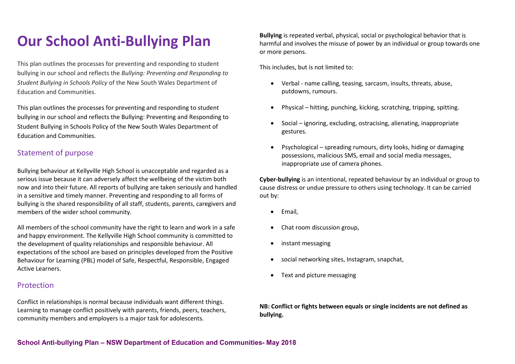# **Our School Anti-Bullying Plan**

This plan outlines the processes for preventing and responding to student bullying in our school and reflects the *Bullying: Preventing and Responding to Student Bullying in Schools Policy* of the New South Wales Department of Education and Communities.

This plan outlines the processes for preventing and responding to student bullying in our school and reflects the Bullying: Preventing and Responding to Student Bullying in Schools Policy of the New South Wales Department of Education and Communities.

# Statement of purpose

Bullying behaviour at Kellyville High School is unacceptable and regarded as a serious issue because it can adversely affect the wellbeing of the victim both now and into their future. All reports of bullying are taken seriously and handled in a sensitive and timely manner. Preventing and responding to all forms of bullying is the shared responsibility of all staff, students, parents, caregivers and members of the wider school community.

All members of the school community have the right to learn and work in a safe and happy environment. The Kellyville High School community is committed to the development of quality relationships and responsible behaviour. All expectations of the school are based on principles developed from the Positive Behaviour for Learning (PBL) model of Safe, Respectful, Responsible, Engaged Active Learners.

## Protection

Conflict in relationships is normal because individuals want different things. Learning to manage conflict positively with parents, friends, peers, teachers, community members and employers is a major task for adolescents.

**Bullying** is repeated verbal, physical, social or psychological behavior that is harmful and involves the misuse of power by an individual or group towards one or more persons.

This includes, but is not limited to:

- Verbal name calling, teasing, sarcasm, insults, threats, abuse, putdowns, rumours.
- Physical hitting, punching, kicking, scratching, tripping, spitting.
- Social ignoring, excluding, ostracising, alienating, inappropriate gestures.
- Psychological spreading rumours, dirty looks, hiding or damaging possessions, malicious SMS, email and social media messages, inappropriate use of camera phones.

**Cyber-bullying** is an intentional, repeated behaviour by an individual or group to cause distress or undue pressure to others using technology. It can be carried out by:

- Email,
- Chat room discussion group,
- instant messaging
- social networking sites, Instagram, snapchat,
- Text and picture messaging

**NB: Conflict or fights between equals or single incidents are not defined as bullying.**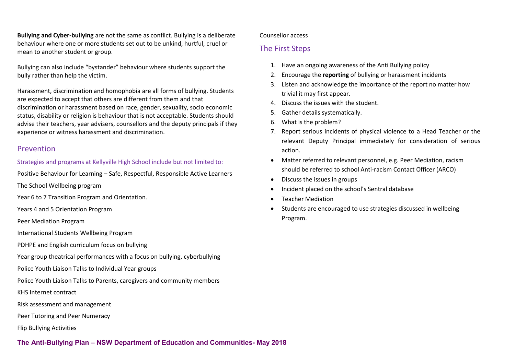**Bullying and Cyber-bullying** are not the same as conflict. Bullying is a deliberate behaviour where one or more students set out to be unkind, hurtful, cruel or mean to another student or group.

Bullying can also include "bystander" behaviour where students support the bully rather than help the victim.

Harassment, discrimination and homophobia are all forms of bullying. Students are expected to accept that others are different from them and that discrimination or harassment based on race, gender, sexuality, socio economic status, disability or religion is behaviour that is not acceptable. Students should advise their teachers, year advisers, counsellors and the deputy principals if they experience or witness harassment and discrimination.

#### Prevention

Strategies and programs at Kellyville High School include but not limited to:

Positive Behaviour for Learning – Safe, Respectful, Responsible Active Learners

The School Wellbeing program

Year 6 to 7 Transition Program and Orientation.

Years 4 and 5 Orientation Program

Peer Mediation Program

International Students Wellbeing Program

PDHPE and English curriculum focus on bullying

- Year group theatrical performances with a focus on bullying, cyberbullying
- Police Youth Liaison Talks to Individual Year groups
- Police Youth Liaison Talks to Parents, caregivers and community members

KHS Internet contract

Risk assessment and management

Peer Tutoring and Peer Numeracy

Flip Bullying Activities

# Counsellor access

# The First Steps

- 1. Have an ongoing awareness of the Anti Bullying policy
- 2. Encourage the **reporting** of bullying or harassment incidents
- 3. Listen and acknowledge the importance of the report no matter how trivial it may first appear.
- 4. Discuss the issues with the student.
- 5. Gather details systematically.
- 6. What is the problem?
- 7. Report serious incidents of physical violence to a Head Teacher or the relevant Deputy Principal immediately for consideration of serious action.
- Matter referred to relevant personnel, e.g. Peer Mediation, racism should be referred to school Anti-racism Contact Officer (ARCO)
- Discuss the issues in groups
- Incident placed on the school's Sentral database
- Teacher Mediation
- Students are encouraged to use strategies discussed in wellbeing Program.

**The Anti-Bullying Plan – NSW Department of Education and Communities- May 2018**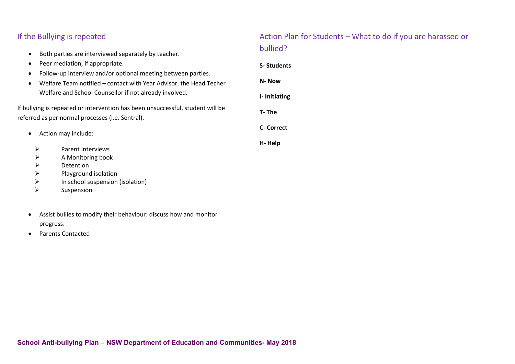# If the Bullying is repeated

- Both parties are interviewed separately by teacher.
- Peer mediation, if appropriate.
- Follow-up interview and/or optional meeting between parties.
- Welfare Team notified contact with Year Advisor, the Head Techer Welfare and School Counsellor if not already involved.

If bullying is repeated or intervention has been unsuccessful, student will be referred as per normal processes (i.e. Sentral).

- Action may include:
	- $\triangleright$  Parent Interviews
	- $\triangleright$  A Monitoring book
	- $\triangleright$  Detention
	- $\triangleright$  Playground isolation
	- $\triangleright$  In school suspension (isolation)
	- $\triangleright$  Suspension
- Assist bullies to modify their behaviour: discuss how and monitor progress.
- Parents Contacted

# Action Plan for Students – What to do if you are harassed or bullied?

**S- Students N- Now I- Initiating T- The C- Correct H- Help**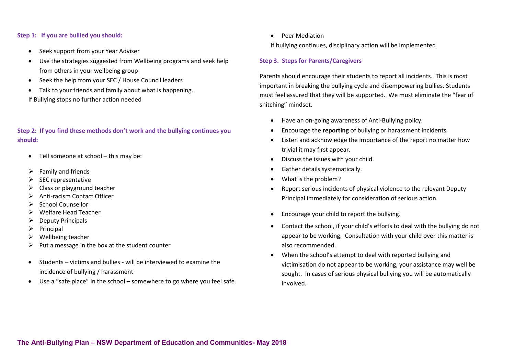#### **Step 1: If you are bullied you should:**

- Seek support from your Year Adviser
- Use the strategies suggested from Wellbeing programs and seek help from others in your wellbeing group
- Seek the help from your SEC / House Council leaders
- Talk to your friends and family about what is happening. If Bullying stops no further action needed

**Step 2: If you find these methods don't work and the bullying continues you should:**

- Tell someone at school this may be:
- $\triangleright$  Family and friends
- SEC representative
- $\triangleright$  Class or playground teacher
- Anti-racism Contact Officer
- $\triangleright$  School Counsellor
- Welfare Head Teacher
- $\triangleright$  Deputy Principals
- $\triangleright$  Principal
- $\triangleright$  Wellbeing teacher
- Put a message in the box at the student counter
- Students victims and bullies will be interviewed to examine the incidence of bullying / harassment
- Use a "safe place" in the school somewhere to go where you feel safe.

• Peer Mediation

If bullying continues, disciplinary action will be implemented

#### **Step 3. Steps for Parents/Caregivers**

Parents should encourage their students to report all incidents. This is most important in breaking the bullying cycle and disempowering bullies. Students must feel assured that they will be supported. We must eliminate the "fear of snitching" mindset.

- Have an on-going awareness of Anti-Bullying policy.
- Encourage the **reporting** of bullying or harassment incidents
- Listen and acknowledge the importance of the report no matter how trivial it may first appear.
- Discuss the issues with your child.
- Gather details systematically.
- What is the problem?
- Report serious incidents of physical violence to the relevant Deputy Principal immediately for consideration of serious action.
- Encourage your child to report the bullying.
- Contact the school, if your child's efforts to deal with the bullying do not appear to be working. Consultation with your child over this matter is also recommended.
- When the school's attempt to deal with reported bullying and victimisation do not appear to be working, your assistance may well be sought. In cases of serious physical bullying you will be automatically involved.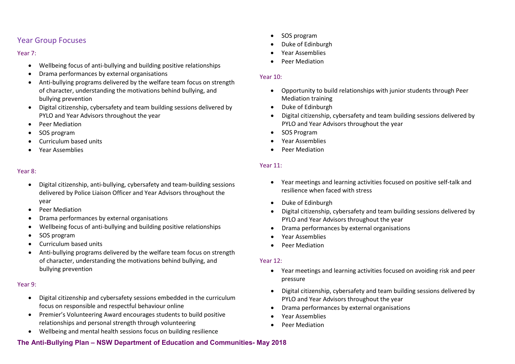## Year Group Focuses

Year 7:

- Wellbeing focus of anti-bullying and building positive relationships
- Drama performances by external organisations
- Anti-bullying programs delivered by the welfare team focus on strength of character, understanding the motivations behind bullying, and bullying prevention
- Digital citizenship, cybersafety and team building sessions delivered by PYLO and Year Advisors throughout the year
- Peer Mediation
- SOS program
- Curriculum based units
- Year Assemblies

#### Year 8:

- Digital citizenship, anti-bullying, cybersafety and team-building sessions delivered by Police Liaison Officer and Year Advisors throughout the year
- Peer Mediation
- Drama performances by external organisations
- Wellbeing focus of anti-bullying and building positive relationships
- SOS program
- Curriculum based units
- Anti-bullying programs delivered by the welfare team focus on strength of character, understanding the motivations behind bullying, and bullying prevention

#### Year 9:

- Digital citizenship and cybersafety sessions embedded in the curriculum focus on responsible and respectful behaviour online
- Premier's Volunteering Award encourages students to build positive relationships and personal strength through volunteering
- Wellbeing and mental health sessions focus on building resilience

#### **The Anti-Bullying Plan – NSW Department of Education and Communities- May 2018**

- SOS program
- Duke of Edinburgh
- Year Assemblies
- Peer Mediation

#### Year 10:

- Opportunity to build relationships with junior students through Peer Mediation training
- Duke of Edinburgh
- Digital citizenship, cybersafety and team building sessions delivered by PYLO and Year Advisors throughout the year
- SOS Program
- Year Assemblies
- Peer Mediation

#### Year 11:

- Year meetings and learning activities focused on positive self-talk and resilience when faced with stress
- Duke of Edinburgh
- Digital citizenship, cybersafety and team building sessions delivered by PYLO and Year Advisors throughout the year
- Drama performances by external organisations
- Year Assemblies
- Peer Mediation

#### Year 12:

- Year meetings and learning activities focused on avoiding risk and peer pressure
- Digital citizenship, cybersafety and team building sessions delivered by PYLO and Year Advisors throughout the year
- Drama performances by external organisations
- Year Assemblies
- Peer Mediation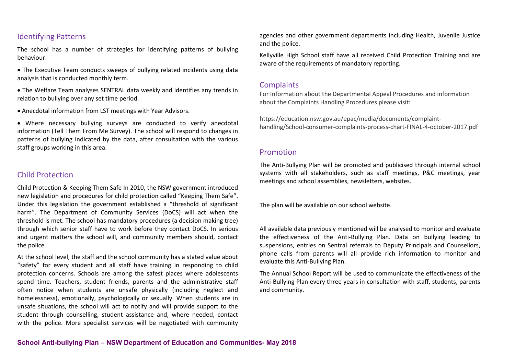#### Identifying Patterns

The school has a number of strategies for identifying patterns of bullying behaviour:

- The Executive Team conducts sweeps of bullying related incidents using data analysis that is conducted monthly term.
- The Welfare Team analyses SENTRAL data weekly and identifies any trends in relation to bullying over any set time period.
- Anecdotal information from LST meetings with Year Advisors.

• Where necessary bullying surveys are conducted to verify anecdotal information (Tell Them From Me Survey). The school will respond to changes in patterns of bullying indicated by the data, after consultation with the various staff groups working in this area.

#### Child Protection

Child Protection & Keeping Them Safe In 2010, the NSW government introduced new legislation and procedures for child protection called "Keeping Them Safe". Under this legislation the government established a "threshold of significant harm". The Department of Community Services (DoCS) will act when the threshold is met. The school has mandatory procedures (a decision making tree) through which senior staff have to work before they contact DoCS. In serious and urgent matters the school will, and community members should, contact the police.

At the school level, the staff and the school community has a stated value about "safety" for every student and all staff have training in responding to child protection concerns. Schools are among the safest places where adolescents spend time. Teachers, student friends, parents and the administrative staff often notice when students are unsafe physically (including neglect and homelessness), emotionally, psychologically or sexually. When students are in unsafe situations, the school will act to notify and will provide support to the student through counselling, student assistance and, where needed, contact with the police. More specialist services will be negotiated with community

agencies and other government departments including Health, Juvenile Justice and the police.

Kellyville High School staff have all received Child Protection Training and are aware of the requirements of mandatory reporting.

#### **Complaints**

For Information about the Departmental Appeal Procedures and information about the Complaints Handling Procedures please visit:

https://education.nsw.gov.au/epac/media/documents/complainthandling/School-consumer-complaints-process-chart-FINAL-4-october-2017.pdf

#### Promotion

The Anti-Bullying Plan will be promoted and publicised through internal school systems with all stakeholders, such as staff meetings, P&C meetings, year meetings and school assemblies, newsletters, websites.

The plan will be available on our school website.

All available data previously mentioned will be analysed to monitor and evaluate the effectiveness of the Anti-Bullying Plan. Data on bullying leading to suspensions, entries on Sentral referrals to Deputy Principals and Counsellors, phone calls from parents will all provide rich information to monitor and evaluate this Anti-Bullying Plan.

The Annual School Report will be used to communicate the effectiveness of the Anti-Bullying Plan every three years in consultation with staff, students, parents and community.